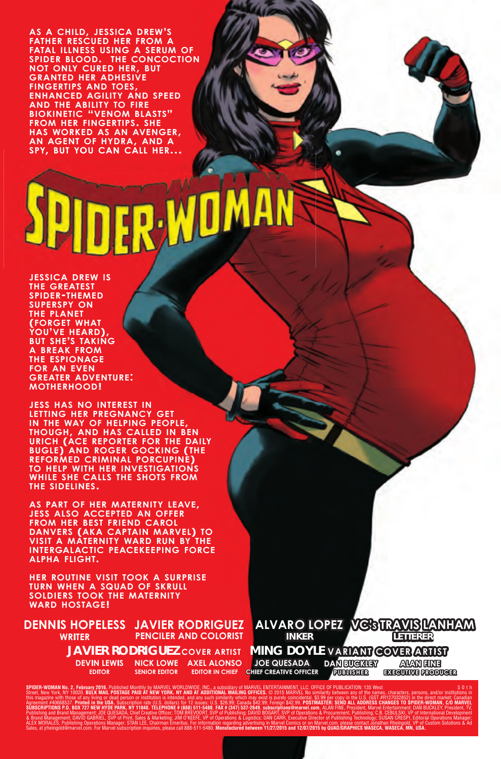**AS <sup>A</sup> CHILD, JESSICA DREW'S FATHER RESCUED HER FROM A FATAL ILLNESS USING A SERUM OF SPIDER BLOOD. THE CONCOCTION NOT ONLY CURED HER, BUT GRANTED HER ADHESIVE FINGERTIPS AND TOES, ENHANCED AGILITY AND SPEED AND THE ABILITY TO FIRE BIOKINETIC "VENOM BLASTS" FROM HER FINGERTIPS. SHE HAS WORKED AS AN AVENGER, AN AGENT OF HYDRA, AND <sup>A</sup> SPY, BUT YOU CAN CALL HER...**

**JESSICA DREW IS THE GREATEST SPIDER-THEMED SUPERSPY ON THE PLANET (FORGET WHAT YOU'VE HEARD), BUT SHE'S TAKING A BREAK FROM THE ESPIONAGE FOR AN EVEN GREATER ADVENTURE: MOTHERHOOD!**

**JESS HAS NO INTEREST IN LETTING HER PREGNANCY GET**  $I$ **HOUGH, AND HAS CALLED IN BEN URICH (ACE REPORTER FOR THE DAILY BUGLE) AND ROGER GOCKING (THE REFORMED CRIMINAL PORCUPINE) TO HELP WITH HER INVESTIGATIONS WHILE SHE CALLS THE SHOTS FROM THE SIDELINES.**

**AS PART OF HER MATERNITY LEAVE, JESS ALSO ACCEPTED AN OFFER FROM HER BEST FRIEND CAROL DANVERS (AKA CAPTAIN MARVEL) TO VISIT A MATERNITY WARD RUN BY THE INTERGALACTIC PEACEKEEPING FORCE ALPHA FLIGHT.** 

**HER ROUTINE VISIT TOOK A SURPRISE TURN WHEN A SQUAD OF SKRULL SOLDIERS TOOK THE MATERNITY WARD HOSTAGE!**

**JAVIER RODRIGUEZ PENCILER AND COLORIST NICK LOWE AXEL ALONSO EDITOR IN CHIEF SENIOR EDITOR DEVIN LEWIS EDITOR DENNIS HOPELESS WRITER**



SPIDER-WOMAN No. 2, February 2016. Published Monthly by MARVEL WORLDWIDE, INC., a subsidiary of the SMISS (10: GENET AND MARVEL No similarity between any of the names, characters, persons, and/or institutions in<br>this magaz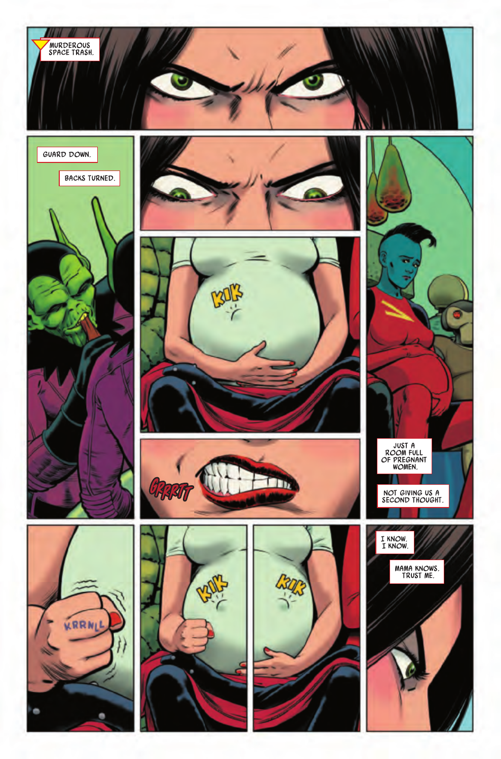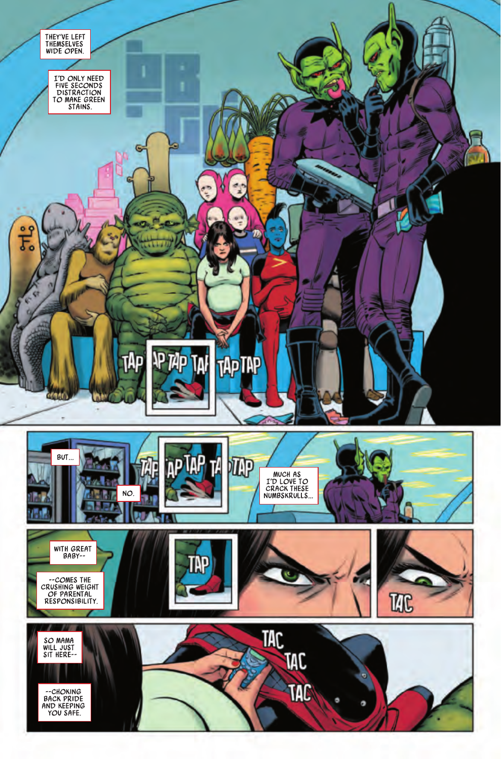